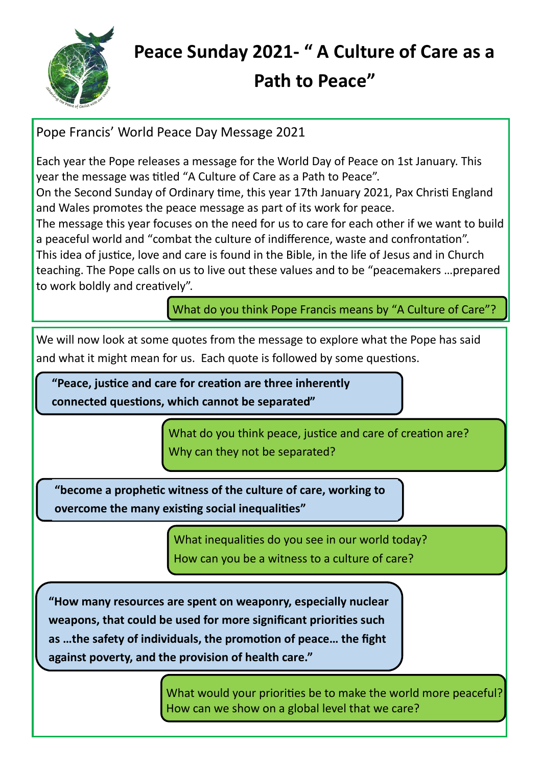

## **Peace Sunday 2021- " A Culture of Care as a**

## **Path to Peace"**

Pope Francis' World Peace Day Message 2021

Each year the Pope releases a message for the World Day of Peace on 1st January. This year the message was titled "A Culture of Care as a Path to Peace".

On the Second Sunday of Ordinary time, this year 17th January 2021, Pax Christi England and Wales promotes the peace message as part of its work for peace.

The message this year focuses on the need for us to care for each other if we want to build a peaceful world and "combat the culture of indifference, waste and confrontation".

This idea of justice, love and care is found in the Bible, in the life of Jesus and in Church teaching. The Pope calls on us to live out these values and to be "peacemakers …prepared to work boldly and creatively".

What do you think Pope Francis means by "A Culture of Care"?

We will now look at some quotes from the message to explore what the Pope has said and what it might mean for us. Each quote is followed by some questions.

**"Peace, justice and care for creation are three inherently connected questions, which cannot be separated"**

> What do you think peace, justice and care of creation are? Why can they not be separated?

**"become a prophetic witness of the culture of care, working to overcome the many existing social inequalities"**

> What inequalities do you see in our world today? How can you be a witness to a culture of care?

**"How many resources are spent on weaponry, especially nuclear weapons, that could be used for more significant priorities such as …the safety of individuals, the promotion of peace… the fight against poverty, and the provision of health care."**

> What would your priorities be to make the world more peaceful? How can we show on a global level that we care?